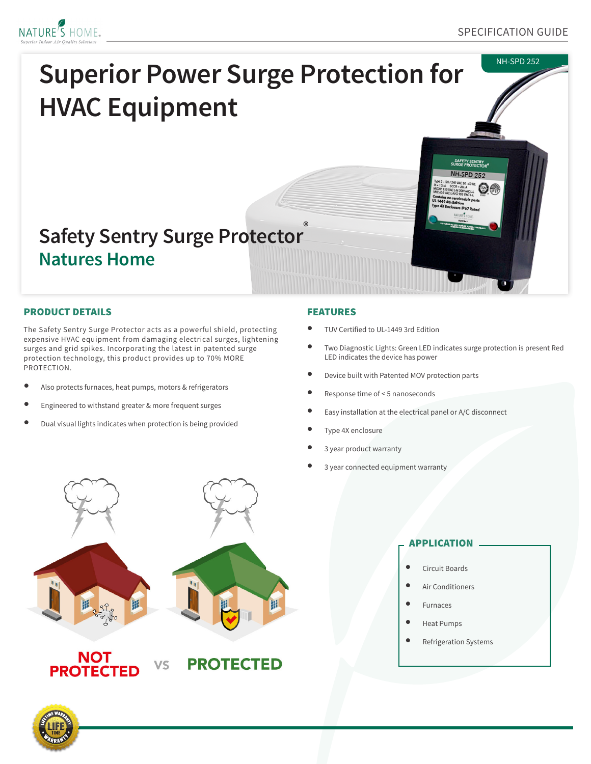



## PRODUCT DETAILS

The Safety Sentry Surge Protector acts as a powerful shield, protecting expensive HVAC equipment from damaging electrical surges, lightening surges and grid spikes. Incorporating the latest in patented surge protection technology, this product provides up to 70% MORE PROTECTION.

- Also protects furnaces, heat pumps, motors & refrigerators
- Engineered to withstand greater & more frequent surges
- Dual visual lights indicates when protection is being provided

### FEATURES

- TUV Certified to UL-1449 3rd Edition
- Two Diagnostic Lights: Green LED indicates surge protection is present Red LED indicates the device has power
- Device built with Patented MOV protection parts
- Response time of < 5 nanoseconds
- Easy installation at the electrical panel or A/C disconnect
- Type 4X enclosure
- 3 year product warranty
- 3 year connected equipment warranty



# APPLICATION

- Circuit Boards
- Air Conditioners
- **Furnaces**
- Heat Pumps
- Refrigeration Systems